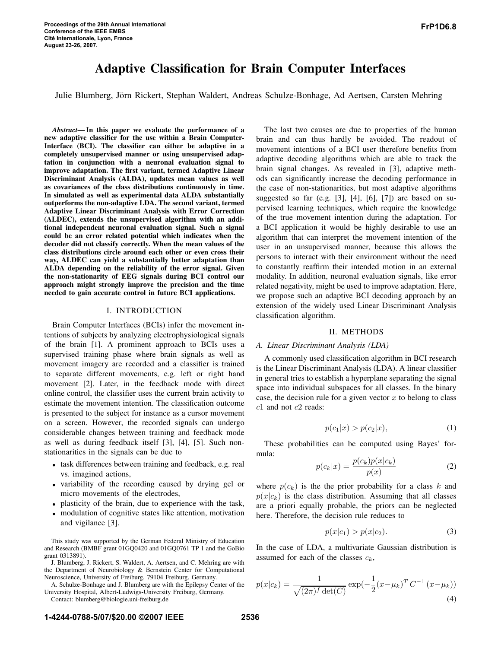# Adaptive Classification for Brain Computer Interfaces

Julie Blumberg, Jörn Rickert, Stephan Waldert, Andreas Schulze-Bonhage, Ad Aertsen, Carsten Mehring

*Abstract*—In this paper we evaluate the performance of a new adaptive classifier for the use within a Brain Computer-Interface (BCI). The classifier can either be adaptive in a completely unsupervised manner or using unsupervised adaptation in conjunction with a neuronal evaluation signal to improve adaptation. The first variant, termed Adaptive Linear Discriminant Analysis (ALDA), updates mean values as well as covariances of the class distributions continuously in time. In simulated as well as experimental data ALDA substantially outperforms the non-adaptive LDA. The second variant, termed Adaptive Linear Discriminant Analysis with Error Correction (ALDEC), extends the unsupervised algorithm with an additional independent neuronal evaluation signal. Such a signal could be an error related potential which indicates when the decoder did not classify correctly. When the mean values of the class distributions circle around each other or even cross their way, ALDEC can yield a substantially better adaptation than ALDA depending on the reliability of the error signal. Given the non-stationarity of EEG signals during BCI control our approach might strongly improve the precision and the time needed to gain accurate control in future BCI applications.

## I. INTRODUCTION

Brain Computer Interfaces (BCIs) infer the movement intentions of subjects by analyzing electrophysiological signals of the brain [1]. A prominent approach to BCIs uses a supervised training phase where brain signals as well as movement imagery are recorded and a classifier is trained to separate different movements, e.g. left or right hand movement [2]. Later, in the feedback mode with direct online control, the classifier uses the current brain activity to estimate the movement intention. The classification outcome is presented to the subject for instance as a cursor movement on a screen. However, the recorded signals can undergo considerable changes between training and feedback mode as well as during feedback itself [3], [4], [5]. Such nonstationarities in the signals can be due to

- task differences between training and feedback, e.g. real vs. imagined actions,
- variability of the recording caused by drying gel or micro movements of the electrodes,
- plasticity of the brain, due to experience with the task,
- modulation of cognitive states like attention, motivation and vigilance [3].

This study was supported by the German Federal Ministry of Education and Research (BMBF grant 01GQ0420 and 01GQ0761 TP 1 and the GoBio grant 0313891).

J. Blumberg, J. Rickert, S. Waldert, A. Aertsen, and C. Mehring are with the Department of Neurobiology & Bernstein Center for Computational Neuroscience, University of Freiburg, 79104 Freiburg, Germany.

A. Schulze-Bonhage and J. Blumberg are with the Epilepsy Center of the University Hospital, Albert-Ludwigs-University Freiburg, Germany.

Contact: blumberg@biologie.uni-freiburg.de

The last two causes are due to properties of the human brain and can thus hardly be avoided. The readout of movement intentions of a BCI user therefore benefits from adaptive decoding algorithms which are able to track the brain signal changes. As revealed in [3], adaptive methods can significantly increase the decoding performance in the case of non-stationarities, but most adaptive algorithms suggested so far (e.g. [3], [4], [6], [7]) are based on supervised learning techniques, which require the knowledge of the true movement intention during the adaptation. For a BCI application it would be highly desirable to use an algorithm that can interpret the movement intention of the user in an unsupervised manner, because this allows the persons to interact with their environment without the need to constantly reaffirm their intended motion in an external modality. In addition, neuronal evaluation signals, like error related negativity, might be used to improve adaptation. Here, we propose such an adaptive BCI decoding approach by an extension of the widely used Linear Discriminant Analysis classification algorithm.

#### II. METHODS

### *A. Linear Discriminant Analysis (LDA)*

A commonly used classification algorithm in BCI research is the Linear Discriminant Analysis (LDA). A linear classifier in general tries to establish a hyperplane separating the signal space into individual subspaces for all classes. In the binary case, the decision rule for a given vector  $x$  to belong to class c1 and not c2 reads:

$$
p(c_1|x) > p(c_2|x),
$$
 (1)

These probabilities can be computed using Bayes' formula:

$$
p(c_k|x) = \frac{p(c_k)p(x|c_k)}{p(x)}
$$
\n(2)

where  $p(c_k)$  is the the prior probability for a class k and  $p(x|c_k)$  is the class distribution. Assuming that all classes are a priori equally probable, the priors can be neglected here. Therefore, the decision rule reduces to

$$
p(x|c_1) > p(x|c_2).
$$
 (3)

In the case of LDA, a multivariate Gaussian distribution is assumed for each of the classes  $c_k$ ,

$$
p(x|c_k) = \frac{1}{\sqrt{(2\pi)^f \det(C)}} \exp(-\frac{1}{2}(x - \mu_k)^T C^{-1} (x - \mu_k))
$$
\n(4)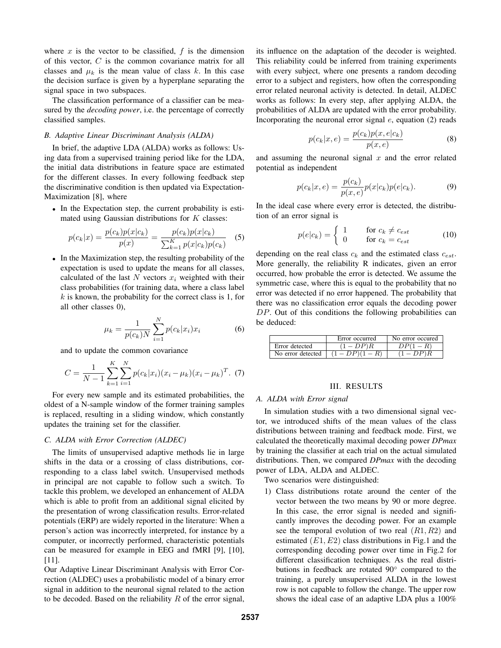where  $x$  is the vector to be classified,  $f$  is the dimension of this vector,  $C$  is the common covariance matrix for all classes and  $\mu_k$  is the mean value of class k. In this case the decision surface is given by a hyperplane separating the signal space in two subspaces.

The classification performance of a classifier can be measured by the *decoding power*, i.e. the percentage of correctly classified samples.

# *B. Adaptive Linear Discriminant Analysis (ALDA)*

In brief, the adaptive LDA (ALDA) works as follows: Using data from a supervised training period like for the LDA, the initial data distributions in feature space are estimated for the different classes. In every following feedback step the discriminative condition is then updated via Expectation-Maximization [8], where

• In the Expectation step, the current probability is estimated using Gaussian distributions for  $K$  classes:

$$
p(c_k|x) = \frac{p(c_k)p(x|c_k)}{p(x)} = \frac{p(c_k)p(x|c_k)}{\sum_{k=1}^{K} p(x|c_k)p(c_k)}
$$
(5)

• In the Maximization step, the resulting probability of the expectation is used to update the means for all classes, calculated of the last  $N$  vectors  $x_i$  weighted with their class probabilities (for training data, where a class label  $k$  is known, the probability for the correct class is 1, for all other classes 0),

$$
\mu_k = \frac{1}{p(c_k)N} \sum_{i=1}^{N} p(c_k | x_i) x_i
$$
 (6)

and to update the common covariance

$$
C = \frac{1}{N-1} \sum_{k=1}^{K} \sum_{i=1}^{N} p(c_k | x_i)(x_i - \mu_k)(x_i - \mu_k)^T
$$
 (7)

For every new sample and its estimated probabilities, the oldest of a N-sample window of the former training samples is replaced, resulting in a sliding window, which constantly updates the training set for the classifier.

## *C. ALDA with Error Correction (ALDEC)*

The limits of unsupervised adaptive methods lie in large shifts in the data or a crossing of class distributions, corresponding to a class label switch. Unsupervised methods in principal are not capable to follow such a switch. To tackle this problem, we developed an enhancement of ALDA which is able to profit from an additional signal elicited by the presentation of wrong classification results. Error-related potentials (ERP) are widely reported in the literature: When a person's action was incorrectly interpreted, for instance by a computer, or incorrectly performed, characteristic potentials can be measured for example in EEG and fMRI [9], [10], [11].

Our Adaptive Linear Discriminant Analysis with Error Correction (ALDEC) uses a probabilistic model of a binary error signal in addition to the neuronal signal related to the action to be decoded. Based on the reliability  $R$  of the error signal, its influence on the adaptation of the decoder is weighted. This reliability could be inferred from training experiments with every subject, where one presents a random decoding error to a subject and registers, how often the corresponding error related neuronal activity is detected. In detail, ALDEC works as follows: In every step, after applying ALDA, the probabilities of ALDA are updated with the error probability. Incorporating the neuronal error signal  $e$ , equation (2) reads

$$
p(c_k|x,e) = \frac{p(c_k)p(x,e|c_k)}{p(x,e)}
$$
(8)

and assuming the neuronal signal  $x$  and the error related potential as independent

$$
p(c_k|x, e) = \frac{p(c_k)}{p(x, e)} p(x|c_k) p(e|c_k).
$$
 (9)

In the ideal case where every error is detected, the distribution of an error signal is

$$
p(e|c_k) = \begin{cases} 1 & \text{for } c_k \neq c_{est} \\ 0 & \text{for } c_k = c_{est} \end{cases}
$$
 (10)

depending on the real class  $c_k$  and the estimated class  $c_{est}$ . More generally, the reliability R indicates, given an error occurred, how probable the error is detected. We assume the symmetric case, where this is equal to the probability that no error was detected if no error happened. The probability that there was no classification error equals the decoding power DP. Out of this conditions the following probabilities can be deduced:

|                   | Error occurred | No error occured |
|-------------------|----------------|------------------|
| Error detected    | $DP$ $R$       |                  |
| No error detected |                |                  |

## III. RESULTS

# *A. ALDA with Error signal*

In simulation studies with a two dimensional signal vector, we introduced shifts of the mean values of the class distributions between training and feedback mode. First, we calculated the theoretically maximal decoding power *DPmax* by training the classifier at each trial on the actual simulated distributions. Then, we compared *DPmax* with the decoding power of LDA, ALDA and ALDEC.

Two scenarios were distinguished:

1) Class distributions rotate around the center of the vector between the two means by 90 or more degree. In this case, the error signal is needed and significantly improves the decoding power. For an example see the temporal evolution of two real  $(R1, R2)$  and estimated  $(E1, E2)$  class distributions in Fig.1 and the corresponding decoding power over time in Fig.2 for different classification techniques. As the real distributions in feedback are rotated 90◦ compared to the training, a purely unsupervised ALDA in the lowest row is not capable to follow the change. The upper row shows the ideal case of an adaptive LDA plus a 100%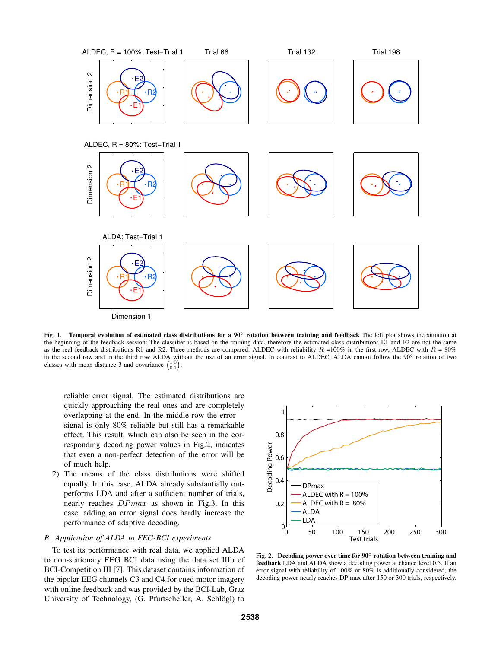

Fig. 1. Temporal evolution of estimated class distributions for a  $90^\circ$  rotation between training and feedback The left plot shows the situation at the beginning of the feedback session: The classifier is based on the training data, therefore the estimated class distributions E1 and E2 are not the same as the real feedback distributions R1 and R2. Three methods are compared: ALDEC with reliability  $R = 100\%$  in the first row, ALDEC with  $R = 80\%$ in the second row and in the third row ALDA without the use of an error signal. In contrast to ALDEC, ALDA cannot follow the 90° rotation of two classes with mean distance 3 and covariance  $\begin{pmatrix} 1 & 0 \\ 0 & 1 \end{pmatrix}$ .

reliable error signal. The estimated distributions are quickly approaching the real ones and are completely overlapping at the end. In the middle row the error signal is only 80% reliable but still has a remarkable effect. This result, which can also be seen in the corresponding decoding power values in Fig.2, indicates that even a non-perfect detection of the error will be of much help.

2) The means of the class distributions were shifted equally. In this case, ALDA already substantially outperforms LDA and after a sufficient number of trials, nearly reaches DPmax as shown in Fig.3. In this case, adding an error signal does hardly increase the performance of adaptive decoding.

### *B. Application of ALDA to EEG-BCI experiments*

To test its performance with real data, we applied ALDA to non-stationary EEG BCI data using the data set IIIb of BCI-Competition III [7]. This dataset contains information of the bipolar EEG channels C3 and C4 for cued motor imagery with online feedback and was provided by the BCI-Lab, Graz University of Technology, (G. Pfurtscheller, A. Schlögl) to



Fig. 2. Decoding power over time for 90◦ rotation between training and feedback LDA and ALDA show a decoding power at chance level 0.5. If an error signal with reliability of 100% or 80% is additionally considered, the decoding power nearly reaches DP max after 150 or 300 trials, respectively.